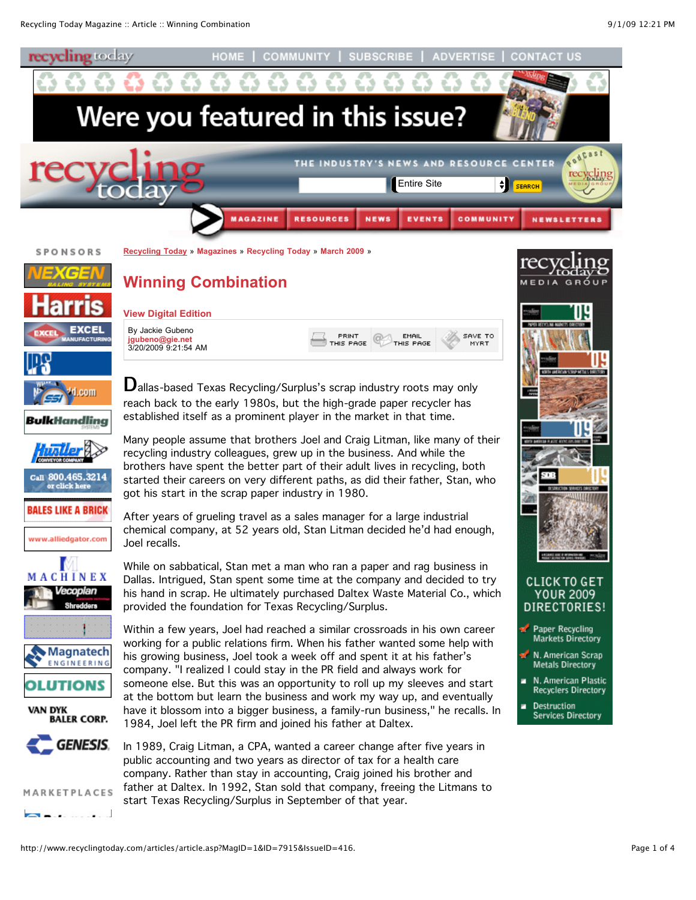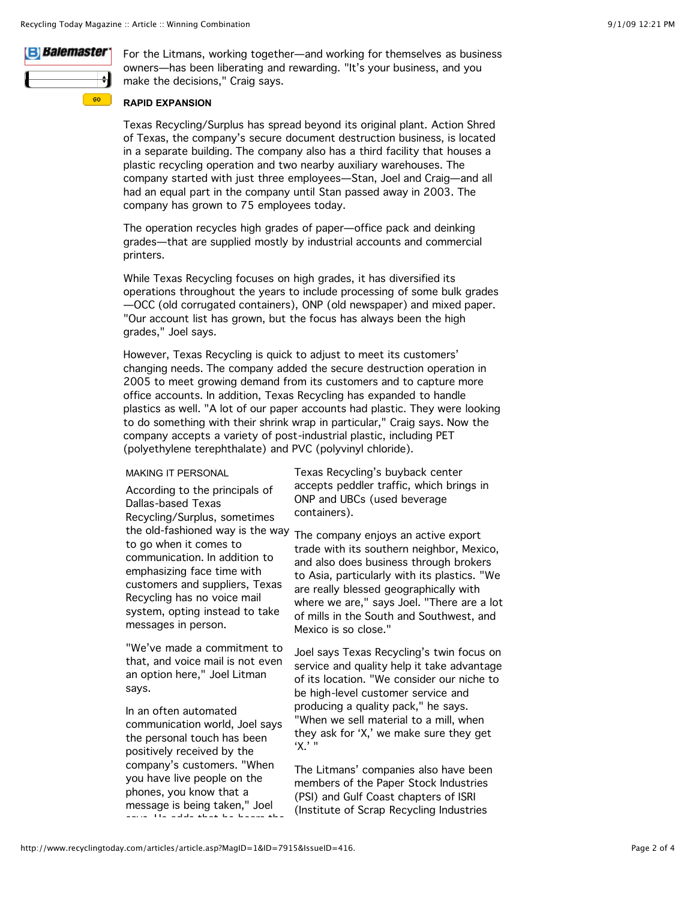# **B** Balemaster

 $60<sub>1</sub>$ 

For the Litmans, working together—and working for themselves as business owners—has been liberating and rewarding. "It's your business, and you make the decisions," Craig says.

# **RAPID EXPANSION**

Texas Recycling/Surplus has spread beyond its original plant. Action Shred of Texas, the company's secure document destruction business, is located in a separate building. The company also has a third facility that houses a plastic recycling operation and two nearby auxiliary warehouses. The company started with just three employees—Stan, Joel and Craig—and all had an equal part in the company until Stan passed away in 2003. The company has grown to 75 employees today.

The operation recycles high grades of paper—office pack and deinking grades—that are supplied mostly by industrial accounts and commercial printers.

While Texas Recycling focuses on high grades, it has diversified its operations throughout the years to include processing of some bulk grades —OCC (old corrugated containers), ONP (old newspaper) and mixed paper. "Our account list has grown, but the focus has always been the high grades," Joel says.

However, Texas Recycling is quick to adjust to meet its customers' changing needs. The company added the secure destruction operation in 2005 to meet growing demand from its customers and to capture more office accounts. In addition, Texas Recycling has expanded to handle plastics as well. "A lot of our paper accounts had plastic. They were looking to do something with their shrink wrap in particular," Craig says. Now the company accepts a variety of post-industrial plastic, including PET (polyethylene terephthalate) and PVC (polyvinyl chloride).

### MAKING IT PERSONAL

According to the principals of Dallas-based Texas Recycling/Surplus, sometimes the old-fashioned way is the way The company enjoys an active export to go when it comes to communication. In addition to emphasizing face time with customers and suppliers, Texas Recycling has no voice mail system, opting instead to take messages in person.

"We've made a commitment to that, and voice mail is not even an option here," Joel Litman says.

In an often automated communication world, Joel says the personal touch has been positively received by the company's customers. "When you have live people on the phones, you know that a message is being taken," Joel says. He adds that he hears the Texas Recycling's buyback center accepts peddler traffic, which brings in ONP and UBCs (used beverage containers).

trade with its southern neighbor, Mexico, and also does business through brokers to Asia, particularly with its plastics. "We are really blessed geographically with where we are," says Joel. "There are a lot of mills in the South and Southwest, and Mexico is so close."

Joel says Texas Recycling's twin focus on service and quality help it take advantage of its location. "We consider our niche to be high-level customer service and producing a quality pack," he says. "When we sell material to a mill, when they ask for 'X,' we make sure they get 'X.' "

The Litmans' companies also have been members of the Paper Stock Industries (PSI) and Gulf Coast chapters of ISRI (Institute of Scrap Recycling Industries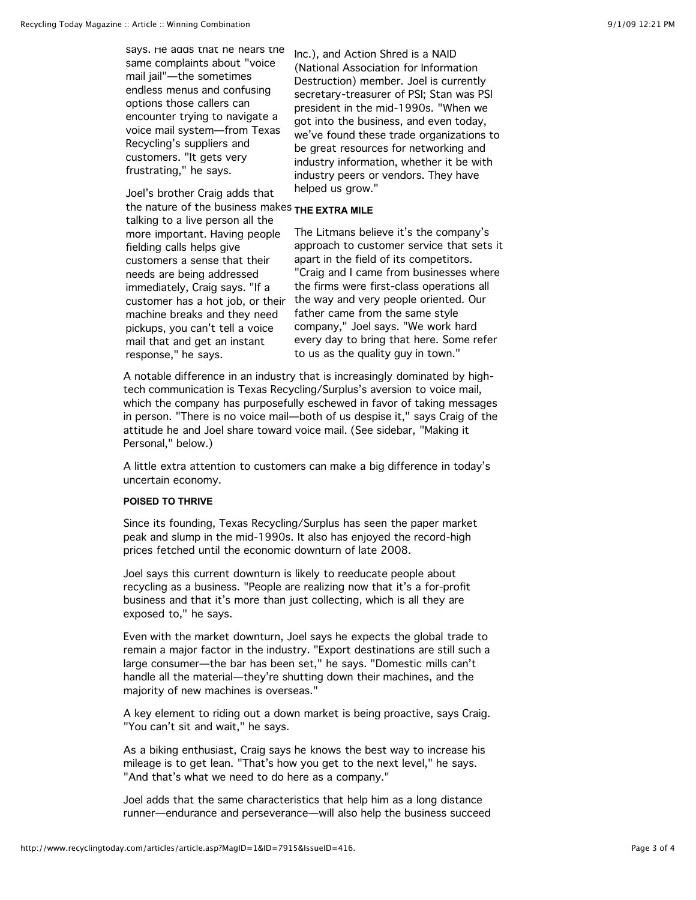says. He adds that he hears the same complaints about "voice mail jail"—the sometimes endless menus and confusing options those callers can encounter trying to navigate a voice mail system—from Texas Recycling's suppliers and customers. "It gets very frustrating," he says.

Joel's brother Craig adds that

the nature of the business makes **THE EXTRA MILE** talking to a live person all the more important. Having people fielding calls helps give customers a sense that their needs are being addressed immediately, Craig says. "If a customer has a hot job, or their machine breaks and they need pickups, you can't tell a voice mail that and get an instant response," he says.

Inc.), and Action Shred is a NAID (National Association for Information Destruction) member. Joel is currently secretary-treasurer of PSI; Stan was PSI president in the mid-1990s. "When we got into the business, and even today, we've found these trade organizations to be great resources for networking and industry information, whether it be with industry peers or vendors. They have helped us grow."

The Litmans believe it's the company's approach to customer service that sets it apart in the field of its competitors. "Craig and I came from businesses where the firms were first-class operations all the way and very people oriented. Our father came from the same style company," Joel says. "We work hard every day to bring that here. Some refer to us as the quality guy in town."

A notable difference in an industry that is increasingly dominated by hightech communication is Texas Recycling/Surplus's aversion to voice mail, which the company has purposefully eschewed in favor of taking messages in person. "There is no voice mail—both of us despise it," says Craig of the attitude he and Joel share toward voice mail. (See sidebar, "Making it Personal," below.)

A little extra attention to customers can make a big difference in today's uncertain economy.

# **POISED TO THRIVE**

Since its founding, Texas Recycling/Surplus has seen the paper market peak and slump in the mid-1990s. It also has enjoyed the record-high prices fetched until the economic downturn of late 2008.

Joel says this current downturn is likely to reeducate people about recycling as a business. "People are realizing now that it's a for-profit business and that it's more than just collecting, which is all they are exposed to," he says.

Even with the market downturn, Joel says he expects the global trade to remain a major factor in the industry. "Export destinations are still such a large consumer—the bar has been set," he says. "Domestic mills can't handle all the material—they're shutting down their machines, and the majority of new machines is overseas."

A key element to riding out a down market is being proactive, says Craig. "You can't sit and wait," he says.

As a biking enthusiast, Craig says he knows the best way to increase his mileage is to get lean. "That's how you get to the next level," he says. "And that's what we need to do here as a company."

Joel adds that the same characteristics that help him as a long distance runner—endurance and perseverance—will also help the business succeed